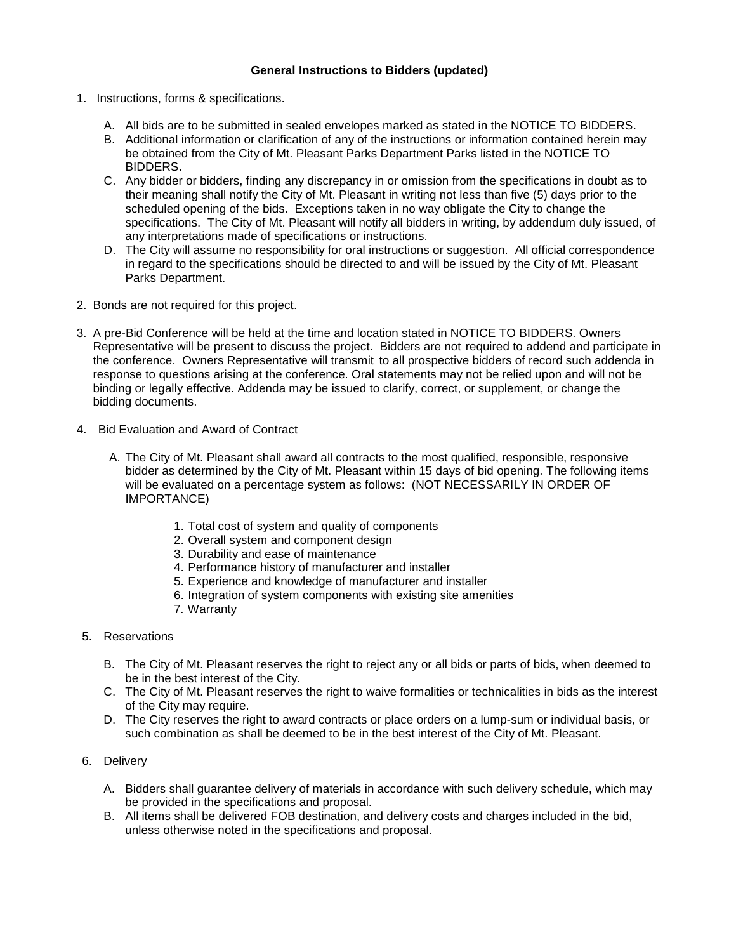# **General Instructions to Bidders (updated)**

- 1. Instructions, forms & specifications.
	- A. All bids are to be submitted in sealed envelopes marked as stated in the NOTICE TO BIDDERS.
	- B. Additional information or clarification of any of the instructions or information contained herein may be obtained from the City of Mt. Pleasant Parks Department Parks listed in the NOTICE TO BIDDERS.
	- C. Any bidder or bidders, finding any discrepancy in or omission from the specifications in doubt as to their meaning shall notify the City of Mt. Pleasant in writing not less than five (5) days prior to the scheduled opening of the bids. Exceptions taken in no way obligate the City to change the specifications. The City of Mt. Pleasant will notify all bidders in writing, by addendum duly issued, of any interpretations made of specifications or instructions.
	- D. The City will assume no responsibility for oral instructions or suggestion. All official correspondence in regard to the specifications should be directed to and will be issued by the City of Mt. Pleasant Parks Department.
- 2. Bonds are not required for this project.
- 3. A pre-Bid Conference will be held at the time and location stated in NOTICE TO BIDDERS. Owners Representative will be present to discuss the project. Bidders are not required to addend and participate in the conference. Owners Representative will transmit to all prospective bidders of record such addenda in response to questions arising at the conference. Oral statements may not be relied upon and will not be binding or legally effective. Addenda may be issued to clarify, correct, or supplement, or change the bidding documents.
- 4. Bid Evaluation and Award of Contract
	- A. The City of Mt. Pleasant shall award all contracts to the most qualified, responsible, responsive bidder as determined by the City of Mt. Pleasant within 15 days of bid opening. The following items will be evaluated on a percentage system as follows: (NOT NECESSARILY IN ORDER OF IMPORTANCE)
		- 1. Total cost of system and quality of components
		- 2. Overall system and component design
		- 3. Durability and ease of maintenance
		- 4. Performance history of manufacturer and installer
		- 5. Experience and knowledge of manufacturer and installer
		- 6. Integration of system components with existing site amenities
		- 7. Warranty
- 5. Reservations
	- B. The City of Mt. Pleasant reserves the right to reject any or all bids or parts of bids, when deemed to be in the best interest of the City.
	- C. The City of Mt. Pleasant reserves the right to waive formalities or technicalities in bids as the interest of the City may require.
	- D. The City reserves the right to award contracts or place orders on a lump-sum or individual basis, or such combination as shall be deemed to be in the best interest of the City of Mt. Pleasant.
- 6. Delivery
	- A. Bidders shall guarantee delivery of materials in accordance with such delivery schedule, which may be provided in the specifications and proposal.
	- B. All items shall be delivered FOB destination, and delivery costs and charges included in the bid, unless otherwise noted in the specifications and proposal.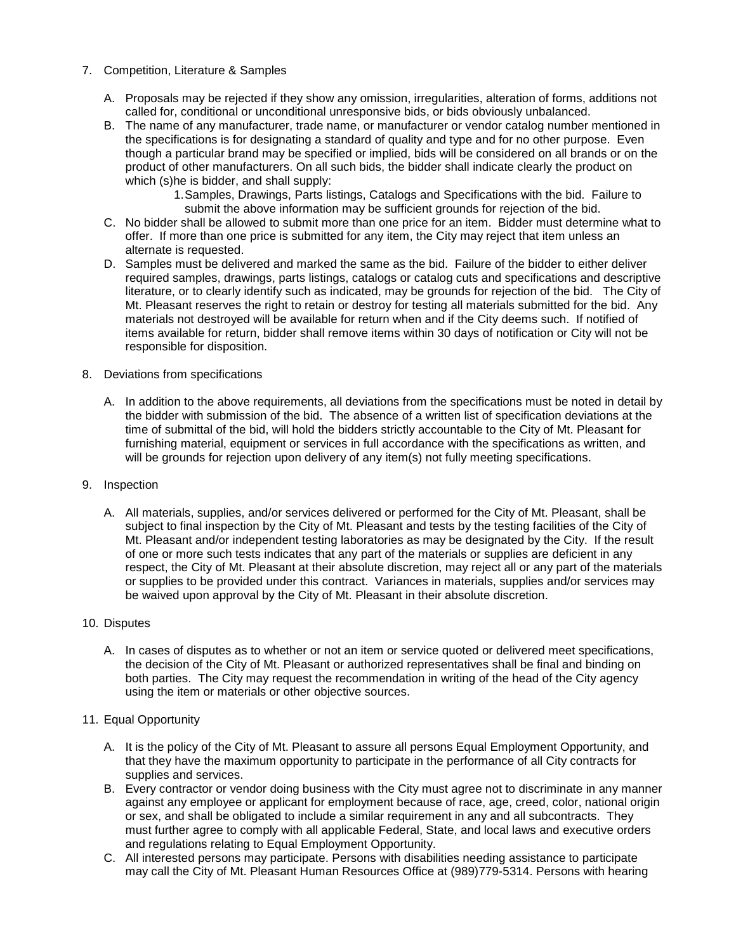- 7. Competition, Literature & Samples
	- A. Proposals may be rejected if they show any omission, irregularities, alteration of forms, additions not called for, conditional or unconditional unresponsive bids, or bids obviously unbalanced.
	- B. The name of any manufacturer, trade name, or manufacturer or vendor catalog number mentioned in the specifications is for designating a standard of quality and type and for no other purpose. Even though a particular brand may be specified or implied, bids will be considered on all brands or on the product of other manufacturers. On all such bids, the bidder shall indicate clearly the product on which (s)he is bidder, and shall supply:
		- 1.Samples, Drawings, Parts listings, Catalogs and Specifications with the bid. Failure to submit the above information may be sufficient grounds for rejection of the bid.
	- C. No bidder shall be allowed to submit more than one price for an item. Bidder must determine what to offer. If more than one price is submitted for any item, the City may reject that item unless an alternate is requested.
	- D. Samples must be delivered and marked the same as the bid. Failure of the bidder to either deliver required samples, drawings, parts listings, catalogs or catalog cuts and specifications and descriptive literature, or to clearly identify such as indicated, may be grounds for rejection of the bid. The City of Mt. Pleasant reserves the right to retain or destroy for testing all materials submitted for the bid. Any materials not destroyed will be available for return when and if the City deems such. If notified of items available for return, bidder shall remove items within 30 days of notification or City will not be responsible for disposition.
- 8. Deviations from specifications
	- A. In addition to the above requirements, all deviations from the specifications must be noted in detail by the bidder with submission of the bid. The absence of a written list of specification deviations at the time of submittal of the bid, will hold the bidders strictly accountable to the City of Mt. Pleasant for furnishing material, equipment or services in full accordance with the specifications as written, and will be grounds for rejection upon delivery of any item(s) not fully meeting specifications.
- 9. Inspection
	- A. All materials, supplies, and/or services delivered or performed for the City of Mt. Pleasant, shall be subject to final inspection by the City of Mt. Pleasant and tests by the testing facilities of the City of Mt. Pleasant and/or independent testing laboratories as may be designated by the City. If the result of one or more such tests indicates that any part of the materials or supplies are deficient in any respect, the City of Mt. Pleasant at their absolute discretion, may reject all or any part of the materials or supplies to be provided under this contract. Variances in materials, supplies and/or services may be waived upon approval by the City of Mt. Pleasant in their absolute discretion.
- 10. Disputes
	- A. In cases of disputes as to whether or not an item or service quoted or delivered meet specifications, the decision of the City of Mt. Pleasant or authorized representatives shall be final and binding on both parties. The City may request the recommendation in writing of the head of the City agency using the item or materials or other objective sources.
- 11. Equal Opportunity
	- A. It is the policy of the City of Mt. Pleasant to assure all persons Equal Employment Opportunity, and that they have the maximum opportunity to participate in the performance of all City contracts for supplies and services.
	- B. Every contractor or vendor doing business with the City must agree not to discriminate in any manner against any employee or applicant for employment because of race, age, creed, color, national origin or sex, and shall be obligated to include a similar requirement in any and all subcontracts. They must further agree to comply with all applicable Federal, State, and local laws and executive orders and regulations relating to Equal Employment Opportunity.
	- C. All interested persons may participate. Persons with disabilities needing assistance to participate may call the City of Mt. Pleasant Human Resources Office at (989)779-5314. Persons with hearing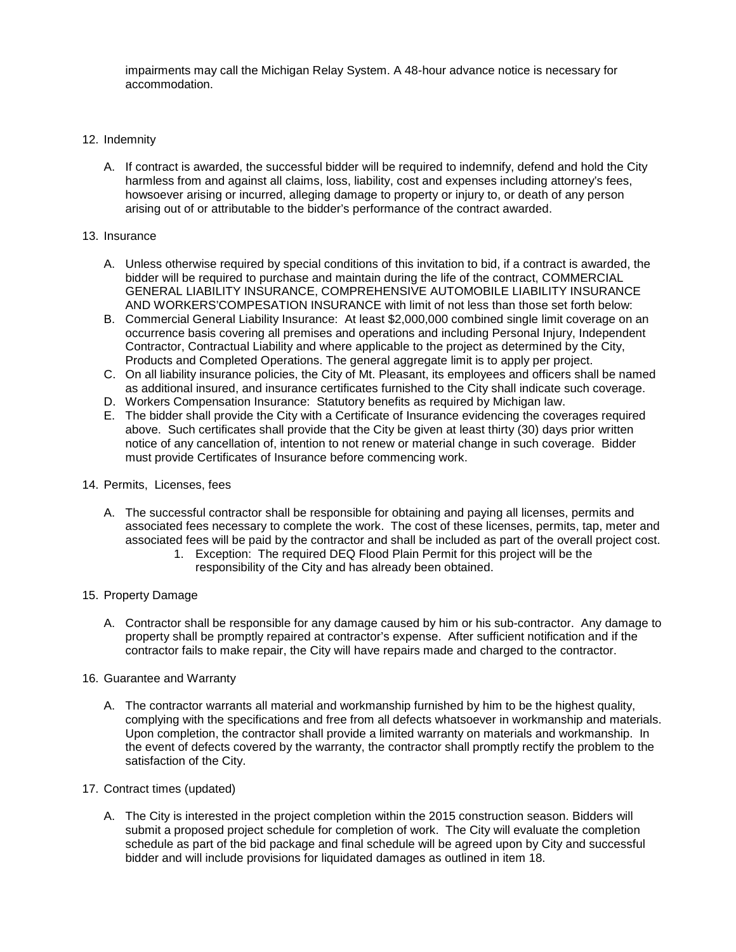impairments may call the Michigan Relay System. A 48-hour advance notice is necessary for accommodation.

# 12. Indemnity

A. If contract is awarded, the successful bidder will be required to indemnify, defend and hold the City harmless from and against all claims, loss, liability, cost and expenses including attorney's fees, howsoever arising or incurred, alleging damage to property or injury to, or death of any person arising out of or attributable to the bidder's performance of the contract awarded.

## 13. Insurance

- A. Unless otherwise required by special conditions of this invitation to bid, if a contract is awarded, the bidder will be required to purchase and maintain during the life of the contract, COMMERCIAL GENERAL LIABILITY INSURANCE, COMPREHENSIVE AUTOMOBILE LIABILITY INSURANCE AND WORKERS'COMPESATION INSURANCE with limit of not less than those set forth below:
- B. Commercial General Liability Insurance: At least \$2,000,000 combined single limit coverage on an occurrence basis covering all premises and operations and including Personal Injury, Independent Contractor, Contractual Liability and where applicable to the project as determined by the City, Products and Completed Operations. The general aggregate limit is to apply per project.
- C. On all liability insurance policies, the City of Mt. Pleasant, its employees and officers shall be named as additional insured, and insurance certificates furnished to the City shall indicate such coverage.
- D. Workers Compensation Insurance: Statutory benefits as required by Michigan law.
- E. The bidder shall provide the City with a Certificate of Insurance evidencing the coverages required above. Such certificates shall provide that the City be given at least thirty (30) days prior written notice of any cancellation of, intention to not renew or material change in such coverage. Bidder must provide Certificates of Insurance before commencing work.

## 14. Permits, Licenses, fees

- A. The successful contractor shall be responsible for obtaining and paying all licenses, permits and associated fees necessary to complete the work. The cost of these licenses, permits, tap, meter and associated fees will be paid by the contractor and shall be included as part of the overall project cost.
	- 1. Exception: The required DEQ Flood Plain Permit for this project will be the responsibility of the City and has already been obtained.
- 15. Property Damage
	- A. Contractor shall be responsible for any damage caused by him or his sub-contractor. Any damage to property shall be promptly repaired at contractor's expense. After sufficient notification and if the contractor fails to make repair, the City will have repairs made and charged to the contractor.
- 16. Guarantee and Warranty
	- A. The contractor warrants all material and workmanship furnished by him to be the highest quality, complying with the specifications and free from all defects whatsoever in workmanship and materials. Upon completion, the contractor shall provide a limited warranty on materials and workmanship. In the event of defects covered by the warranty, the contractor shall promptly rectify the problem to the satisfaction of the City.
- 17. Contract times (updated)
	- A. The City is interested in the project completion within the 2015 construction season. Bidders will submit a proposed project schedule for completion of work. The City will evaluate the completion schedule as part of the bid package and final schedule will be agreed upon by City and successful bidder and will include provisions for liquidated damages as outlined in item 18.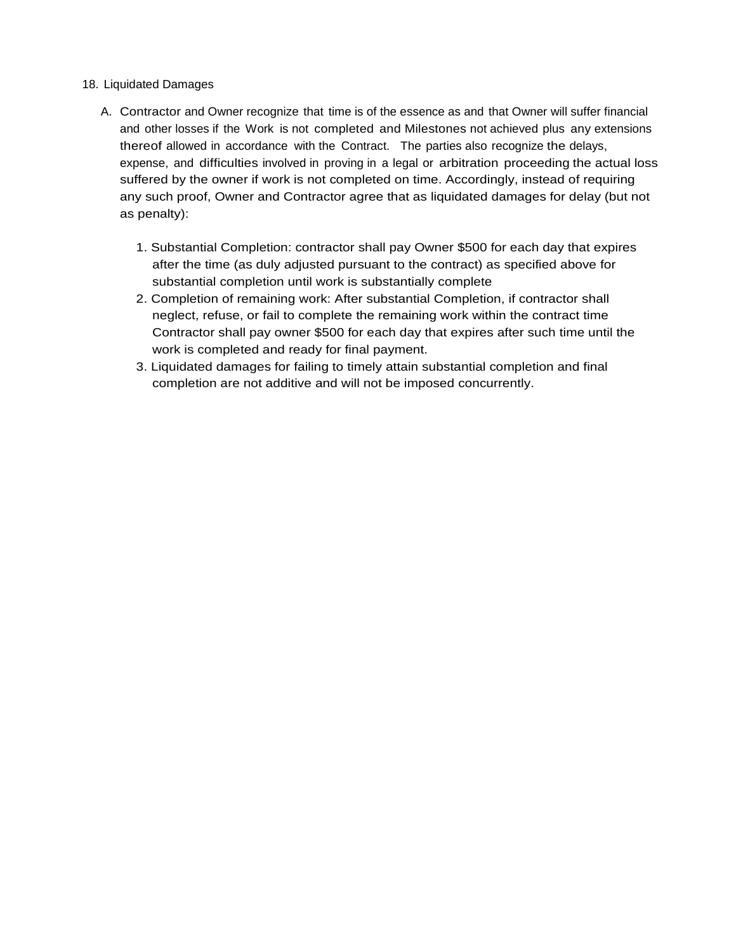# 18. Liquidated Damages

- A. Contractor and Owner recognize that time is of the essence as and that Owner will suffer financial and other losses if the Work is not completed and Milestones not achieved plus any extensions thereof allowed in accordance with the Contract. The parties also recognize the delays, expense, and difficulties involved in proving in a legal or arbitration proceeding the actual loss suffered by the owner if work is not completed on time. Accordingly, instead of requiring any such proof, Owner and Contractor agree that as liquidated damages for delay (but not as penalty):
	- 1. Substantial Completion: contractor shall pay Owner \$500 for each day that expires after the time (as duly adjusted pursuant to the contract) as specified above for substantial completion until work is substantially complete
	- 2. Completion of remaining work: After substantial Completion, if contractor shall neglect, refuse, or fail to complete the remaining work within the contract time Contractor shall pay owner \$500 for each day that expires after such time until the work is completed and ready for final payment.
	- 3. Liquidated damages for failing to timely attain substantial completion and final completion are not additive and will not be imposed concurrently.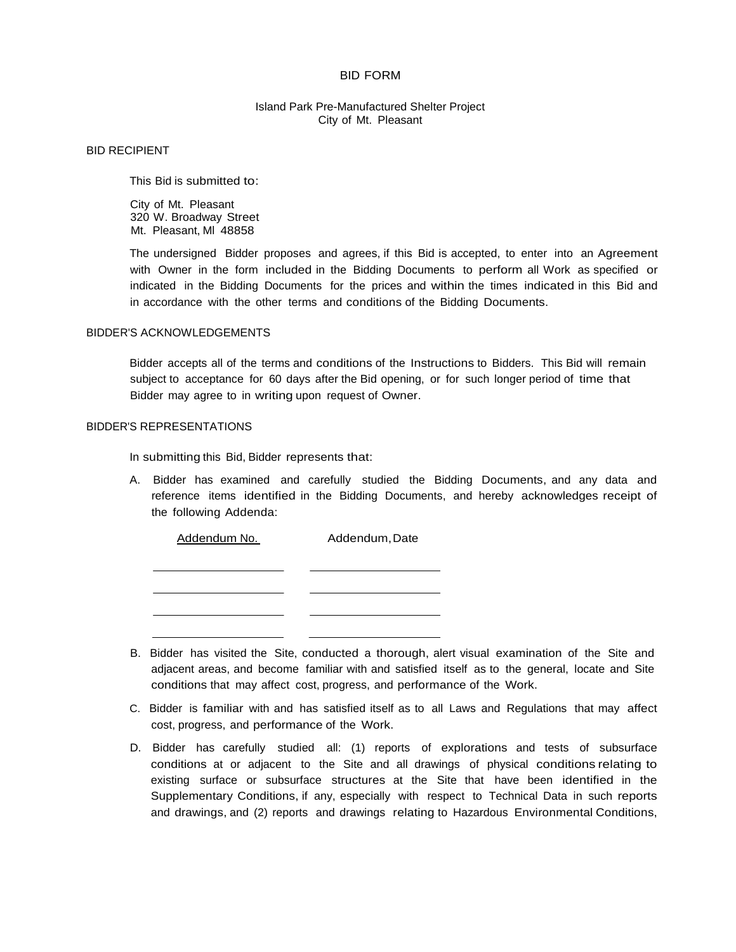#### BID FORM

## Island Park Pre-Manufactured Shelter Project City of Mt. Pleasant

#### BID RECIPIENT

This Bid is submitted to:

City of Mt. Pleasant 320 W. Broadway Street Mt. Pleasant, Ml 48858

The undersigned Bidder proposes and agrees, if this Bid is accepted, to enter into an Agreement with Owner in the form included in the Bidding Documents to perform all Work as specified or indicated in the Bidding Documents for the prices and within the times indicated in this Bid and in accordance with the other terms and conditions of the Bidding Documents.

#### BIDDER'S ACKNOWLEDGEMENTS

Bidder accepts all of the terms and conditions of the Instructions to Bidders. This Bid will remain subject to acceptance for 60 days after the Bid opening, or for such longer period of time that Bidder may agree to in writing upon request of Owner.

#### BIDDER'S REPRESENTATIONS

In submitting this Bid, Bidder represents that:

A. Bidder has examined and carefully studied the Bidding Documents, and any data and reference items identified in the Bidding Documents, and hereby acknowledges receipt of the following Addenda:

| Addendum No. | Addendum, Date |  |
|--------------|----------------|--|
|              |                |  |
|              |                |  |
|              |                |  |
|              |                |  |
|              |                |  |

- B. Bidder has visited the Site, conducted a thorough, alert visual examination of the Site and adjacent areas, and become familiar with and satisfied itself as to the general, locate and Site conditions that may affect cost, progress, and performance of the Work.
- C. Bidder is familiar with and has satisfied itself as to all Laws and Regulations that may affect cost, progress, and performance of the Work.
- D. Bidder has carefully studied all: (1) reports of explorations and tests of subsurface conditions at or adjacent to the Site and all drawings of physical conditions relating to existing surface or subsurface structures at the Site that have been identified in the Supplementary Conditions, if any, especially with respect to Technical Data in such reports and drawings, and (2) reports and drawings relating to Hazardous Environmental Conditions,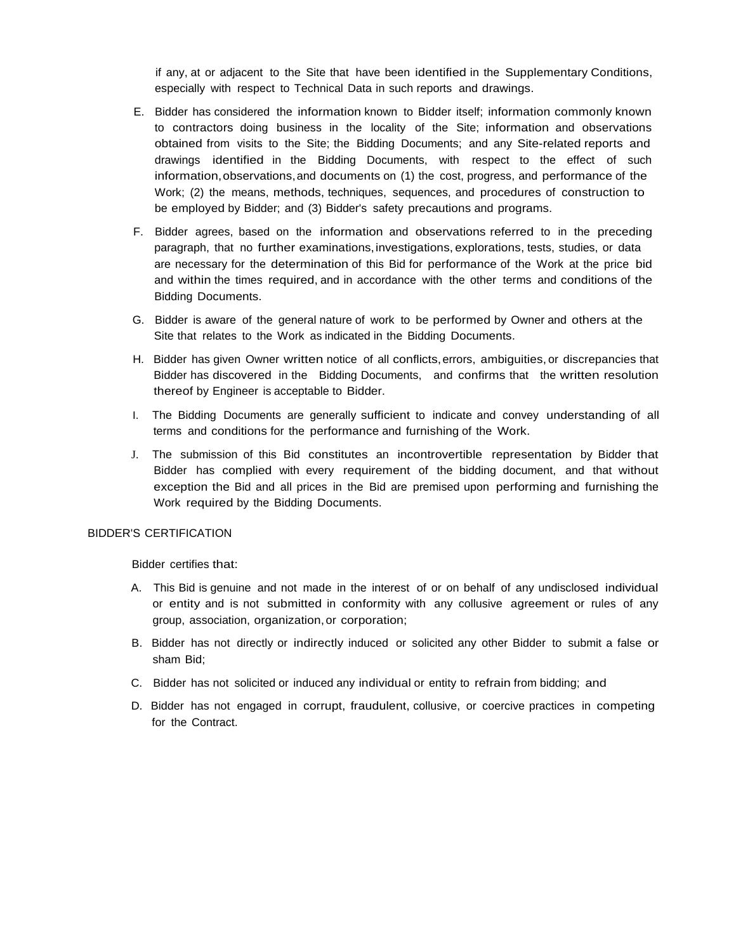if any, at or adjacent to the Site that have been identified in the Supplementary Conditions, especially with respect to Technical Data in such reports and drawings.

- E. Bidder has considered the information known to Bidder itself; information commonly known to contractors doing business in the locality of the Site; information and observations obtained from visits to the Site; the Bidding Documents; and any Site-related reports and drawings identified in the Bidding Documents, with respect to the effect of such information,observations,and documents on (1) the cost, progress, and performance of the Work; (2) the means, methods, techniques, sequences, and procedures of construction to be employed by Bidder; and (3) Bidder's safety precautions and programs.
- F. Bidder agrees, based on the information and observations referred to in the preceding paragraph, that no further examinations, investigations, explorations, tests, studies, or data are necessary for the determination of this Bid for performance of the Work at the price bid and within the times required, and in accordance with the other terms and conditions of the Bidding Documents.
- G. Bidder is aware of the general nature of work to be performed by Owner and others at the Site that relates to the Work as indicated in the Bidding Documents.
- H. Bidder has given Owner written notice of all conflicts,errors, ambiguities, or discrepancies that Bidder has discovered in the Bidding Documents, and confirms that the written resolution thereof by Engineer is acceptable to Bidder.
- I. The Bidding Documents are generally sufficient to indicate and convey understanding of all terms and conditions for the performance and furnishing of the Work.
- J. The submission of this Bid constitutes an incontrovertible representation by Bidder that Bidder has complied with every requirement of the bidding document, and that without exception the Bid and all prices in the Bid are premised upon performing and furnishing the Work required by the Bidding Documents.

### BIDDER'S CERTIFICATION

Bidder certifies that:

- A. This Bid is genuine and not made in the interest of or on behalf of any undisclosed individual or entity and is not submitted in conformity with any collusive agreement or rules of any group, association, organization,or corporation;
- B. Bidder has not directly or indirectly induced or solicited any other Bidder to submit a false or sham Bid;
- C. Bidder has not solicited or induced any individual or entity to refrain from bidding; and
- D. Bidder has not engaged in corrupt, fraudulent, collusive, or coercive practices in competing for the Contract.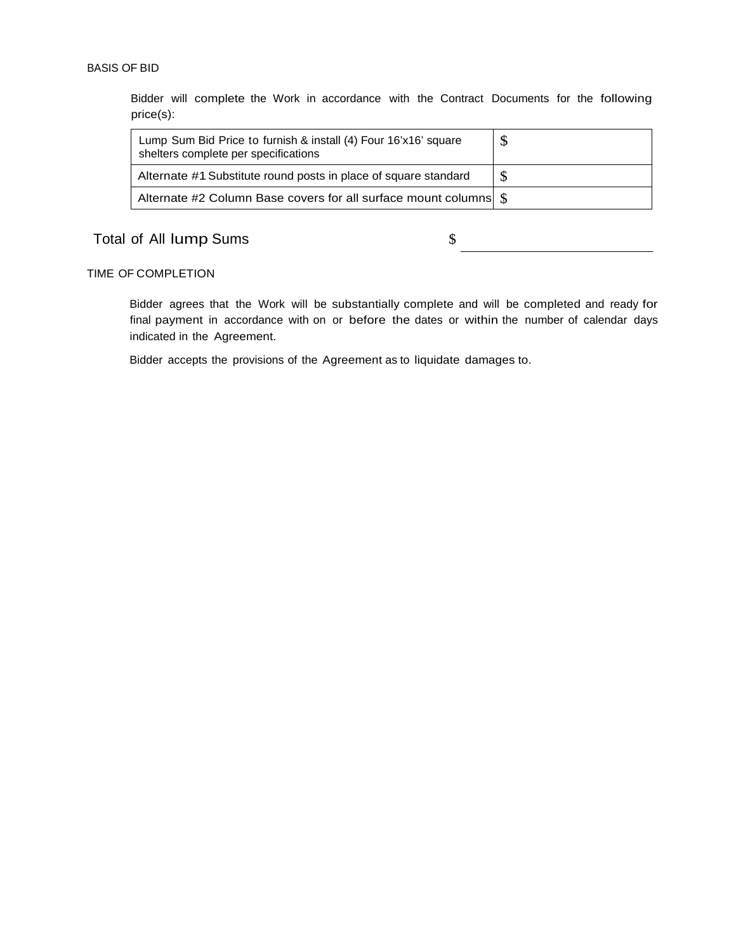# BASIS OF BID

Bidder will complete the Work in accordance with the Contract Documents for the following price(s):

| Lump Sum Bid Price to furnish & install (4) Four 16'x16' square<br>shelters complete per specifications | \$ |
|---------------------------------------------------------------------------------------------------------|----|
| Alternate #1 Substitute round posts in place of square standard                                         |    |
|                                                                                                         |    |

# Total of All lump Sums  $\qquad \qquad \qquad$   $\qquad \qquad$   $\qquad \qquad$

## TIME OF COMPLETION

Bidder agrees that the Work will be substantially complete and will be completed and ready for final payment in accordance with on or before the dates or within the number of calendar days indicated in the Agreement.

Bidder accepts the provisions of the Agreement as to liquidate damages to.